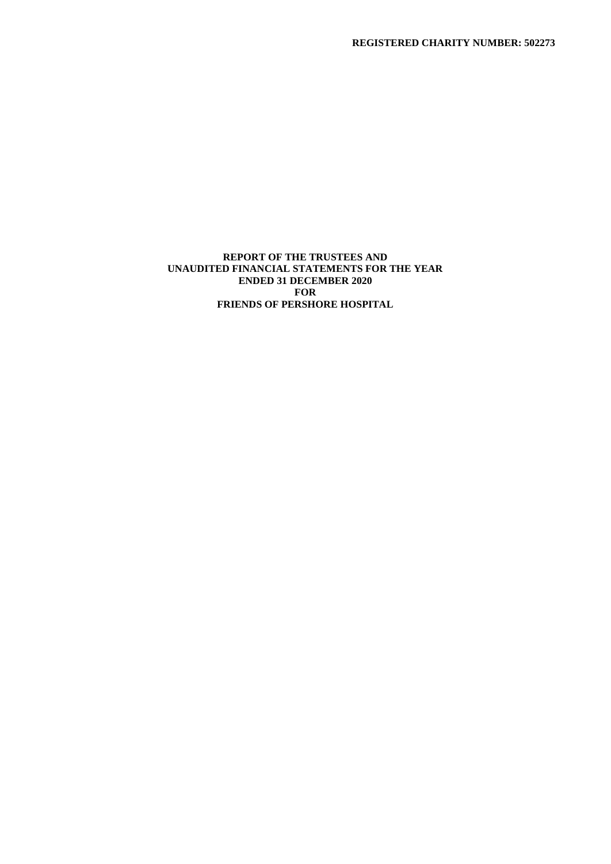# **REPORT OF THE TRUSTEES AND UNAUDITED FINANCIAL STATEMENTS FOR THE YEAR ENDED 31 DECEMBER 2020 FOR FRIENDS OF PERSHORE HOSPITAL**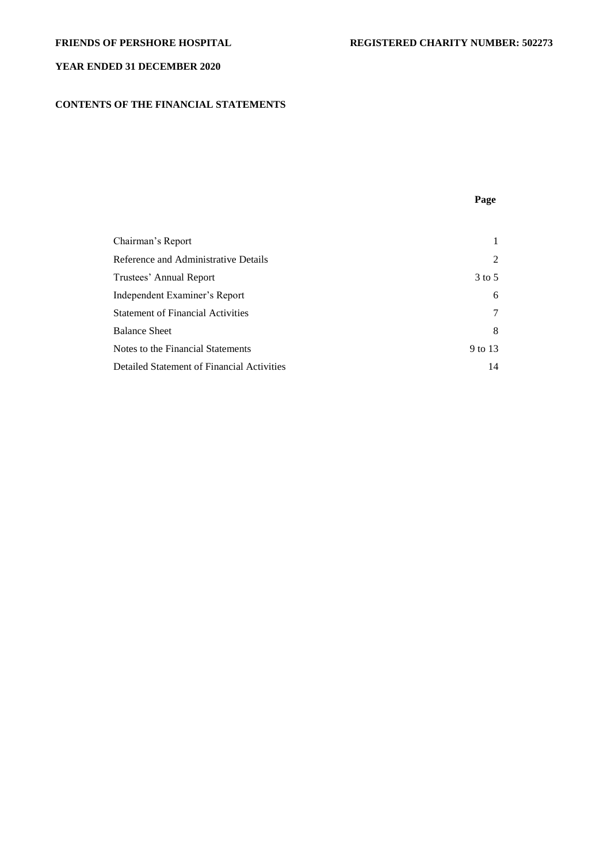# **CONTENTS OF THE FINANCIAL STATEMENTS**

**Page**

| Chairman's Report                          |            |
|--------------------------------------------|------------|
| Reference and Administrative Details       | 2          |
| Trustees' Annual Report                    | $3$ to $5$ |
| Independent Examiner's Report              | 6          |
| <b>Statement of Financial Activities</b>   | 7          |
| <b>Balance Sheet</b>                       | 8          |
| Notes to the Financial Statements          | 9 to 13    |
| Detailed Statement of Financial Activities | 14         |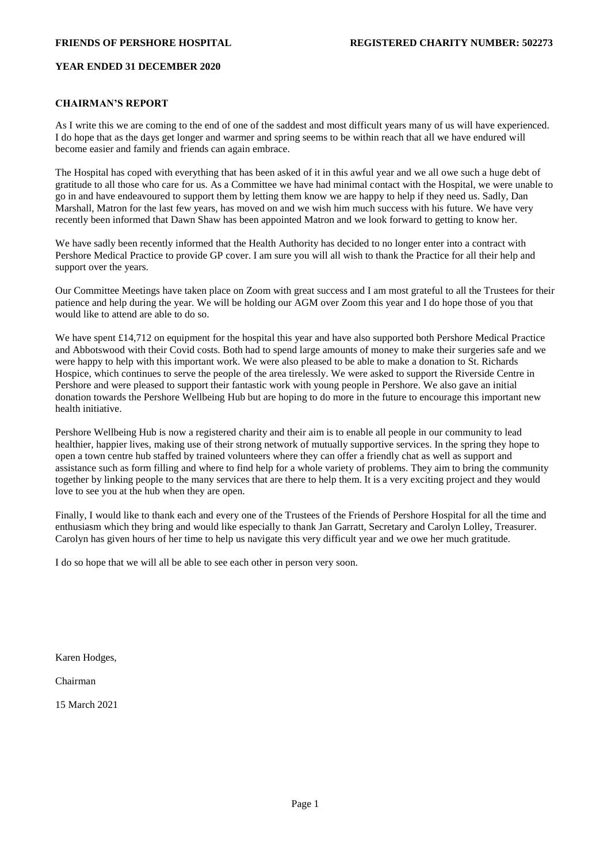### **CHAIRMAN'S REPORT**

As I write this we are coming to the end of one of the saddest and most difficult years many of us will have experienced. I do hope that as the days get longer and warmer and spring seems to be within reach that all we have endured will become easier and family and friends can again embrace.

The Hospital has coped with everything that has been asked of it in this awful year and we all owe such a huge debt of gratitude to all those who care for us. As a Committee we have had minimal contact with the Hospital, we were unable to go in and have endeavoured to support them by letting them know we are happy to help if they need us. Sadly, Dan Marshall, Matron for the last few years, has moved on and we wish him much success with his future. We have very recently been informed that Dawn Shaw has been appointed Matron and we look forward to getting to know her.

We have sadly been recently informed that the Health Authority has decided to no longer enter into a contract with Pershore Medical Practice to provide GP cover. I am sure you will all wish to thank the Practice for all their help and support over the years.

Our Committee Meetings have taken place on Zoom with great success and I am most grateful to all the Trustees for their patience and help during the year. We will be holding our AGM over Zoom this year and I do hope those of you that would like to attend are able to do so.

We have spent £14,712 on equipment for the hospital this year and have also supported both Pershore Medical Practice and Abbotswood with their Covid costs. Both had to spend large amounts of money to make their surgeries safe and we were happy to help with this important work. We were also pleased to be able to make a donation to St. Richards Hospice, which continues to serve the people of the area tirelessly. We were asked to support the Riverside Centre in Pershore and were pleased to support their fantastic work with young people in Pershore. We also gave an initial donation towards the Pershore Wellbeing Hub but are hoping to do more in the future to encourage this important new health initiative.

Pershore Wellbeing Hub is now a registered charity and their aim is to enable all people in our community to lead healthier, happier lives, making use of their strong network of mutually supportive services. In the spring they hope to open a town centre hub staffed by trained volunteers where they can offer a friendly chat as well as support and assistance such as form filling and where to find help for a whole variety of problems. They aim to bring the community together by linking people to the many services that are there to help them. It is a very exciting project and they would love to see you at the hub when they are open.

Finally, I would like to thank each and every one of the Trustees of the Friends of Pershore Hospital for all the time and enthusiasm which they bring and would like especially to thank Jan Garratt, Secretary and Carolyn Lolley, Treasurer. Carolyn has given hours of her time to help us navigate this very difficult year and we owe her much gratitude.

I do so hope that we will all be able to see each other in person very soon.

Karen Hodges,

Chairman

15 March 2021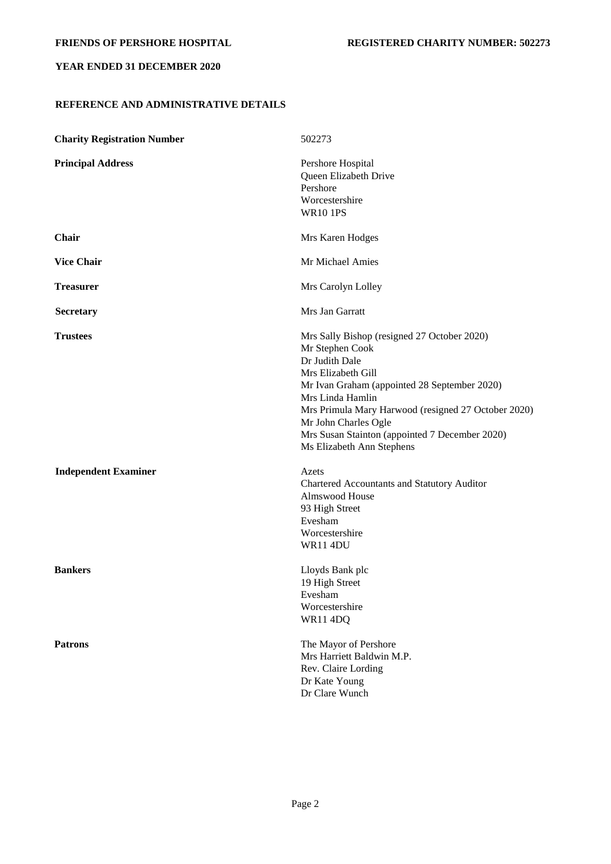# **REFERENCE AND ADMINISTRATIVE DETAILS**

| <b>Charity Registration Number</b> | 502273                                                                                                                                                                                                                                                                                                                                   |
|------------------------------------|------------------------------------------------------------------------------------------------------------------------------------------------------------------------------------------------------------------------------------------------------------------------------------------------------------------------------------------|
| <b>Principal Address</b>           | Pershore Hospital<br>Queen Elizabeth Drive<br>Pershore<br>Worcestershire<br><b>WR10 1PS</b>                                                                                                                                                                                                                                              |
| <b>Chair</b>                       | Mrs Karen Hodges                                                                                                                                                                                                                                                                                                                         |
| <b>Vice Chair</b>                  | Mr Michael Amies                                                                                                                                                                                                                                                                                                                         |
| <b>Treasurer</b>                   | Mrs Carolyn Lolley                                                                                                                                                                                                                                                                                                                       |
| <b>Secretary</b>                   | Mrs Jan Garratt                                                                                                                                                                                                                                                                                                                          |
| <b>Trustees</b>                    | Mrs Sally Bishop (resigned 27 October 2020)<br>Mr Stephen Cook<br>Dr Judith Dale<br>Mrs Elizabeth Gill<br>Mr Ivan Graham (appointed 28 September 2020)<br>Mrs Linda Hamlin<br>Mrs Primula Mary Harwood (resigned 27 October 2020)<br>Mr John Charles Ogle<br>Mrs Susan Stainton (appointed 7 December 2020)<br>Ms Elizabeth Ann Stephens |
| <b>Independent Examiner</b>        | Azets<br>Chartered Accountants and Statutory Auditor<br>Almswood House<br>93 High Street<br>Evesham<br>Worcestershire<br><b>WR11 4DU</b>                                                                                                                                                                                                 |
| <b>Bankers</b>                     | Lloyds Bank plc<br>19 High Street<br>Evesham<br>Worcestershire<br>WR11 4DQ                                                                                                                                                                                                                                                               |
| <b>Patrons</b>                     | The Mayor of Pershore<br>Mrs Harriett Baldwin M.P.<br>Rev. Claire Lording<br>Dr Kate Young<br>Dr Clare Wunch                                                                                                                                                                                                                             |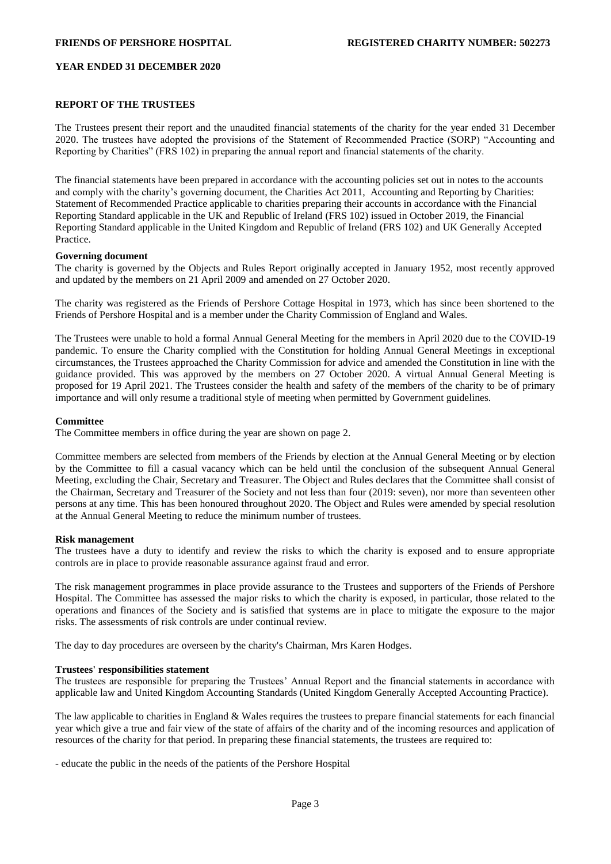## **REPORT OF THE TRUSTEES**

The Trustees present their report and the unaudited financial statements of the charity for the year ended 31 December 2020. The trustees have adopted the provisions of the Statement of Recommended Practice (SORP) "Accounting and Reporting by Charities" (FRS 102) in preparing the annual report and financial statements of the charity.

The financial statements have been prepared in accordance with the accounting policies set out in notes to the accounts and comply with the charity's governing document, the Charities Act 2011, Accounting and Reporting by Charities: Statement of Recommended Practice applicable to charities preparing their accounts in accordance with the Financial Reporting Standard applicable in the UK and Republic of Ireland (FRS 102) issued in October 2019, the Financial Reporting Standard applicable in the United Kingdom and Republic of Ireland (FRS 102) and UK Generally Accepted Practice.

### **Governing document**

The charity is governed by the Objects and Rules Report originally accepted in January 1952, most recently approved and updated by the members on 21 April 2009 and amended on 27 October 2020.

The charity was registered as the Friends of Pershore Cottage Hospital in 1973, which has since been shortened to the Friends of Pershore Hospital and is a member under the Charity Commission of England and Wales.

The Trustees were unable to hold a formal Annual General Meeting for the members in April 2020 due to the COVID-19 pandemic. To ensure the Charity complied with the Constitution for holding Annual General Meetings in exceptional circumstances, the Trustees approached the Charity Commission for advice and amended the Constitution in line with the guidance provided. This was approved by the members on 27 October 2020. A virtual Annual General Meeting is proposed for 19 April 2021. The Trustees consider the health and safety of the members of the charity to be of primary importance and will only resume a traditional style of meeting when permitted by Government guidelines.

### **Committee**

The Committee members in office during the year are shown on page 2.

Committee members are selected from members of the Friends by election at the Annual General Meeting or by election by the Committee to fill a casual vacancy which can be held until the conclusion of the subsequent Annual General Meeting, excluding the Chair, Secretary and Treasurer. The Object and Rules declares that the Committee shall consist of the Chairman, Secretary and Treasurer of the Society and not less than four (2019: seven), nor more than seventeen other persons at any time. This has been honoured throughout 2020. The Object and Rules were amended by special resolution at the Annual General Meeting to reduce the minimum number of trustees.

### **Risk management**

The trustees have a duty to identify and review the risks to which the charity is exposed and to ensure appropriate controls are in place to provide reasonable assurance against fraud and error.

The risk management programmes in place provide assurance to the Trustees and supporters of the Friends of Pershore Hospital. The Committee has assessed the major risks to which the charity is exposed, in particular, those related to the operations and finances of the Society and is satisfied that systems are in place to mitigate the exposure to the major risks. The assessments of risk controls are under continual review.

The day to day procedures are overseen by the charity's Chairman, Mrs Karen Hodges.

### **Trustees' responsibilities statement**

The trustees are responsible for preparing the Trustees' Annual Report and the financial statements in accordance with applicable law and United Kingdom Accounting Standards (United Kingdom Generally Accepted Accounting Practice).

The law applicable to charities in England & Wales requires the trustees to prepare financial statements for each financial year which give a true and fair view of the state of affairs of the charity and of the incoming resources and application of resources of the charity for that period. In preparing these financial statements, the trustees are required to:

- educate the public in the needs of the patients of the Pershore Hospital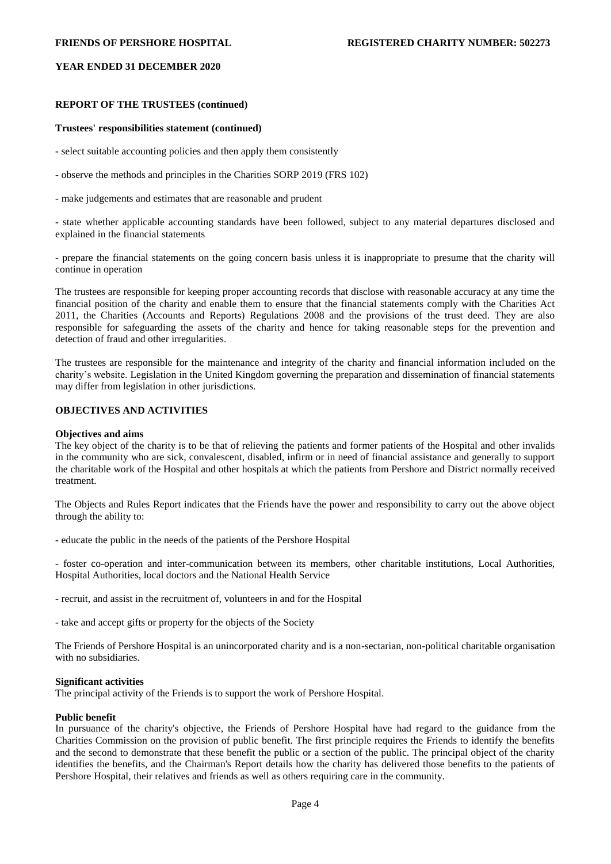## **REPORT OF THE TRUSTEES (continued)**

## **Trustees' responsibilities statement (continued)**

- select suitable accounting policies and then apply them consistently

- observe the methods and principles in the Charities SORP 2019 (FRS 102)

- make judgements and estimates that are reasonable and prudent

- state whether applicable accounting standards have been followed, subject to any material departures disclosed and explained in the financial statements

- prepare the financial statements on the going concern basis unless it is inappropriate to presume that the charity will continue in operation

The trustees are responsible for keeping proper accounting records that disclose with reasonable accuracy at any time the financial position of the charity and enable them to ensure that the financial statements comply with the Charities Act 2011, the Charities (Accounts and Reports) Regulations 2008 and the provisions of the trust deed. They are also responsible for safeguarding the assets of the charity and hence for taking reasonable steps for the prevention and detection of fraud and other irregularities.

The trustees are responsible for the maintenance and integrity of the charity and financial information included on the charity's website. Legislation in the United Kingdom governing the preparation and dissemination of financial statements may differ from legislation in other jurisdictions.

# **OBJECTIVES AND ACTIVITIES**

#### **Objectives and aims**

The key object of the charity is to be that of relieving the patients and former patients of the Hospital and other invalids in the community who are sick, convalescent, disabled, infirm or in need of financial assistance and generally to support the charitable work of the Hospital and other hospitals at which the patients from Pershore and District normally received treatment.

The Objects and Rules Report indicates that the Friends have the power and responsibility to carry out the above object through the ability to:

- educate the public in the needs of the patients of the Pershore Hospital

- foster co-operation and inter-communication between its members, other charitable institutions, Local Authorities, Hospital Authorities, local doctors and the National Health Service

- recruit, and assist in the recruitment of, volunteers in and for the Hospital

- take and accept gifts or property for the objects of the Society

The Friends of Pershore Hospital is an unincorporated charity and is a non-sectarian, non-political charitable organisation with no subsidiaries.

### **Significant activities**

The principal activity of the Friends is to support the work of Pershore Hospital.

### **Public benefit**

In pursuance of the charity's objective, the Friends of Pershore Hospital have had regard to the guidance from the Charities Commission on the provision of public benefit. The first principle requires the Friends to identify the benefits and the second to demonstrate that these benefit the public or a section of the public. The principal object of the charity identifies the benefits, and the Chairman's Report details how the charity has delivered those benefits to the patients of Pershore Hospital, their relatives and friends as well as others requiring care in the community.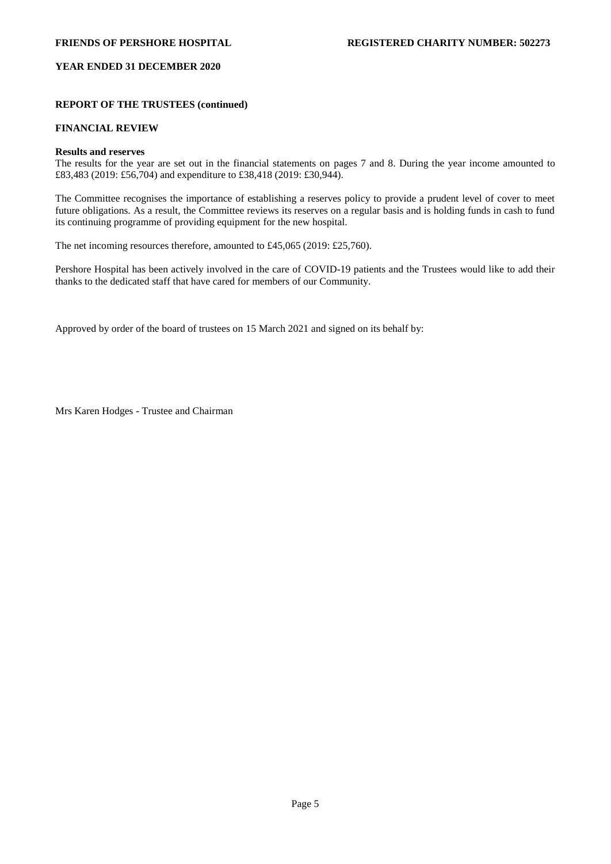# **REPORT OF THE TRUSTEES (continued)**

# **FINANCIAL REVIEW**

## **Results and reserves**

The results for the year are set out in the financial statements on pages 7 and 8. During the year income amounted to £83,483 (2019: £56,704) and expenditure to £38,418 (2019: £30,944).

The Committee recognises the importance of establishing a reserves policy to provide a prudent level of cover to meet future obligations. As a result, the Committee reviews its reserves on a regular basis and is holding funds in cash to fund its continuing programme of providing equipment for the new hospital.

The net incoming resources therefore, amounted to £45,065 (2019: £25,760).

Pershore Hospital has been actively involved in the care of COVID-19 patients and the Trustees would like to add their thanks to the dedicated staff that have cared for members of our Community.

Approved by order of the board of trustees on 15 March 2021 and signed on its behalf by:

Mrs Karen Hodges - Trustee and Chairman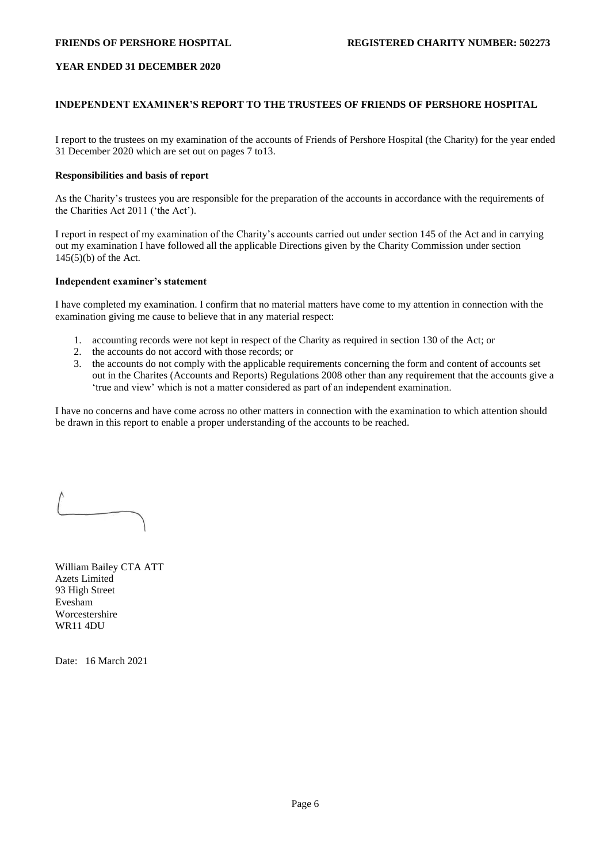# **INDEPENDENT EXAMINER'S REPORT TO THE TRUSTEES OF FRIENDS OF PERSHORE HOSPITAL**

I report to the trustees on my examination of the accounts of Friends of Pershore Hospital (the Charity) for the year ended 31 December 2020 which are set out on pages 7 to13.

# **Responsibilities and basis of report**

As the Charity's trustees you are responsible for the preparation of the accounts in accordance with the requirements of the Charities Act 2011 ('the Act').

I report in respect of my examination of the Charity's accounts carried out under section 145 of the Act and in carrying out my examination I have followed all the applicable Directions given by the Charity Commission under section 145(5)(b) of the Act.

### **Independent examiner's statement**

I have completed my examination. I confirm that no material matters have come to my attention in connection with the examination giving me cause to believe that in any material respect:

- 1. accounting records were not kept in respect of the Charity as required in section 130 of the Act; or
- 2. the accounts do not accord with those records; or
- 3. the accounts do not comply with the applicable requirements concerning the form and content of accounts set out in the Charites (Accounts and Reports) Regulations 2008 other than any requirement that the accounts give a 'true and view' which is not a matter considered as part of an independent examination.

I have no concerns and have come across no other matters in connection with the examination to which attention should be drawn in this report to enable a proper understanding of the accounts to be reached.

William Bailey CTA ATT Azets Limited 93 High Street Evesham Worcestershire WR11 4DU

Date: 16 March 2021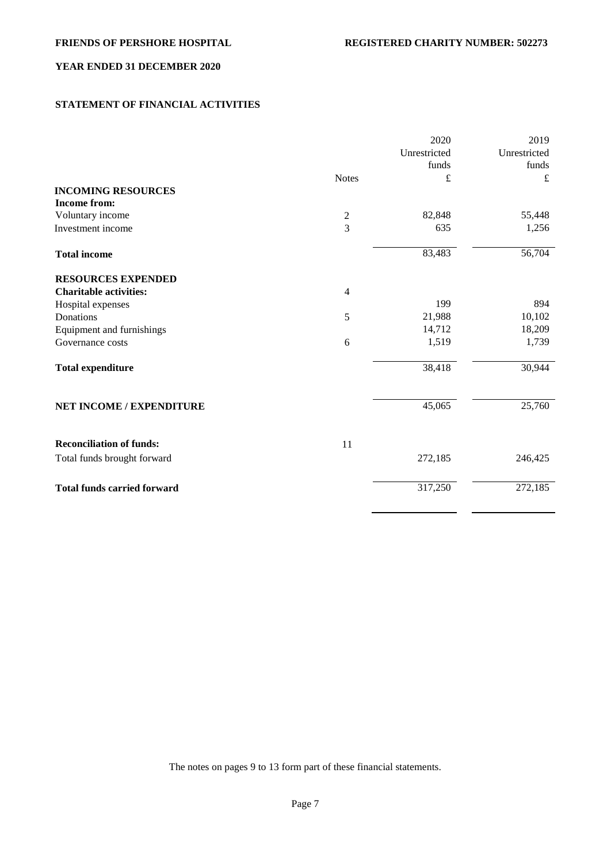# **STATEMENT OF FINANCIAL ACTIVITIES**

|                                    |                | 2020         | 2019         |
|------------------------------------|----------------|--------------|--------------|
|                                    |                | Unrestricted | Unrestricted |
|                                    |                | funds        | funds        |
|                                    | <b>Notes</b>   | £            | £            |
| <b>INCOMING RESOURCES</b>          |                |              |              |
| <b>Income from:</b>                |                |              |              |
| Voluntary income                   | $\sqrt{2}$     | 82,848       | 55,448       |
| Investment income                  | $\overline{3}$ | 635          | 1,256        |
| <b>Total income</b>                |                | 83,483       | 56,704       |
| <b>RESOURCES EXPENDED</b>          |                |              |              |
| <b>Charitable activities:</b>      | $\overline{4}$ |              |              |
| Hospital expenses                  |                | 199          | 894          |
| Donations                          | 5              | 21,988       | 10,102       |
| Equipment and furnishings          |                | 14,712       | 18,209       |
| Governance costs                   | 6              | 1,519        | 1,739        |
| <b>Total expenditure</b>           |                | 38,418       | 30,944       |
| <b>NET INCOME / EXPENDITURE</b>    |                | 45,065       | 25,760       |
| <b>Reconciliation of funds:</b>    | 11             |              |              |
| Total funds brought forward        |                | 272,185      | 246,425      |
| <b>Total funds carried forward</b> |                | 317,250      | 272,185      |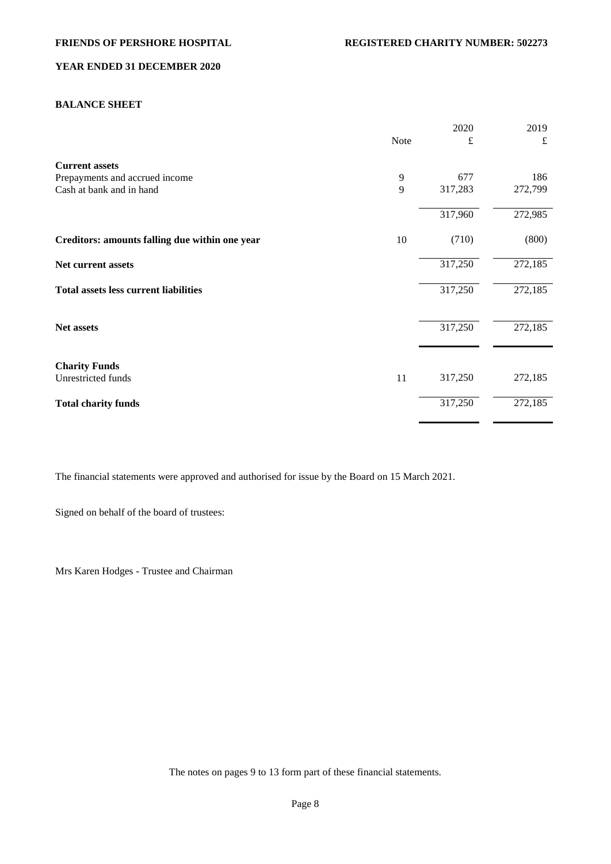# **BALANCE SHEET**

|                                                |      | 2020    | 2019    |
|------------------------------------------------|------|---------|---------|
|                                                | Note | £       | £       |
| <b>Current assets</b>                          |      |         |         |
| Prepayments and accrued income                 | 9    | 677     | 186     |
| Cash at bank and in hand                       | 9    | 317,283 | 272,799 |
|                                                |      | 317,960 | 272,985 |
| Creditors: amounts falling due within one year | 10   | (710)   | (800)   |
| Net current assets                             |      | 317,250 | 272,185 |
| <b>Total assets less current liabilities</b>   |      | 317,250 | 272,185 |
|                                                |      |         |         |
| Net assets                                     |      | 317,250 | 272,185 |
| <b>Charity Funds</b>                           |      |         |         |
| Unrestricted funds                             | 11   | 317,250 | 272,185 |
| <b>Total charity funds</b>                     |      | 317,250 | 272,185 |

The financial statements were approved and authorised for issue by the Board on 15 March 2021.

Signed on behalf of the board of trustees:

Mrs Karen Hodges - Trustee and Chairman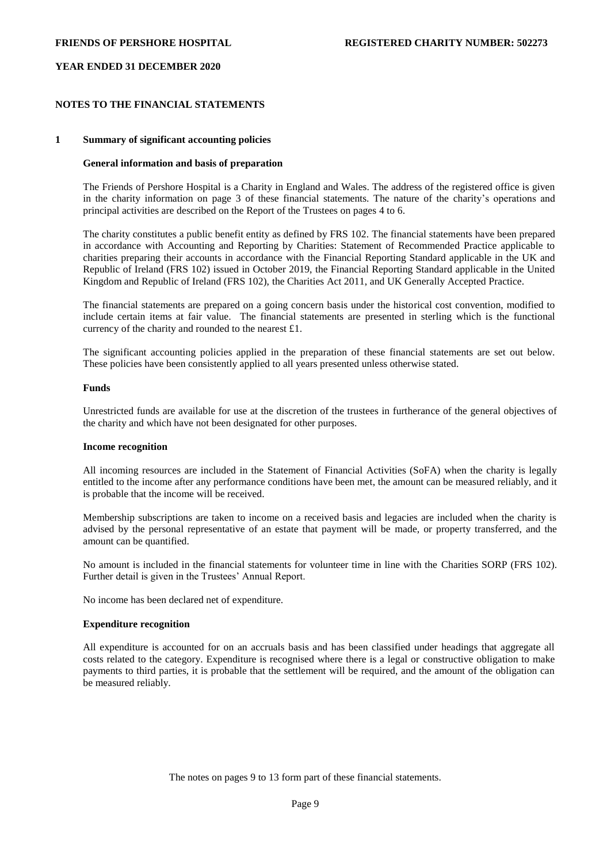## **NOTES TO THE FINANCIAL STATEMENTS**

### **1 Summary of significant accounting policies**

### **General information and basis of preparation**

The Friends of Pershore Hospital is a Charity in England and Wales. The address of the registered office is given in the charity information on page 3 of these financial statements. The nature of the charity's operations and principal activities are described on the Report of the Trustees on pages 4 to 6.

The charity constitutes a public benefit entity as defined by FRS 102. The financial statements have been prepared in accordance with Accounting and Reporting by Charities: Statement of Recommended Practice applicable to charities preparing their accounts in accordance with the Financial Reporting Standard applicable in the UK and Republic of Ireland (FRS 102) issued in October 2019, the Financial Reporting Standard applicable in the United Kingdom and Republic of Ireland (FRS 102), the Charities Act 2011, and UK Generally Accepted Practice.

The financial statements are prepared on a going concern basis under the historical cost convention, modified to include certain items at fair value. The financial statements are presented in sterling which is the functional currency of the charity and rounded to the nearest £1.

The significant accounting policies applied in the preparation of these financial statements are set out below. These policies have been consistently applied to all years presented unless otherwise stated.

### **Funds**

Unrestricted funds are available for use at the discretion of the trustees in furtherance of the general objectives of the charity and which have not been designated for other purposes.

#### **Income recognition**

All incoming resources are included in the Statement of Financial Activities (SoFA) when the charity is legally entitled to the income after any performance conditions have been met, the amount can be measured reliably, and it is probable that the income will be received.

Membership subscriptions are taken to income on a received basis and legacies are included when the charity is advised by the personal representative of an estate that payment will be made, or property transferred, and the amount can be quantified.

No amount is included in the financial statements for volunteer time in line with the Charities SORP (FRS 102). Further detail is given in the Trustees' Annual Report.

No income has been declared net of expenditure.

#### **Expenditure recognition**

All expenditure is accounted for on an accruals basis and has been classified under headings that aggregate all costs related to the category. Expenditure is recognised where there is a legal or constructive obligation to make payments to third parties, it is probable that the settlement will be required, and the amount of the obligation can be measured reliably.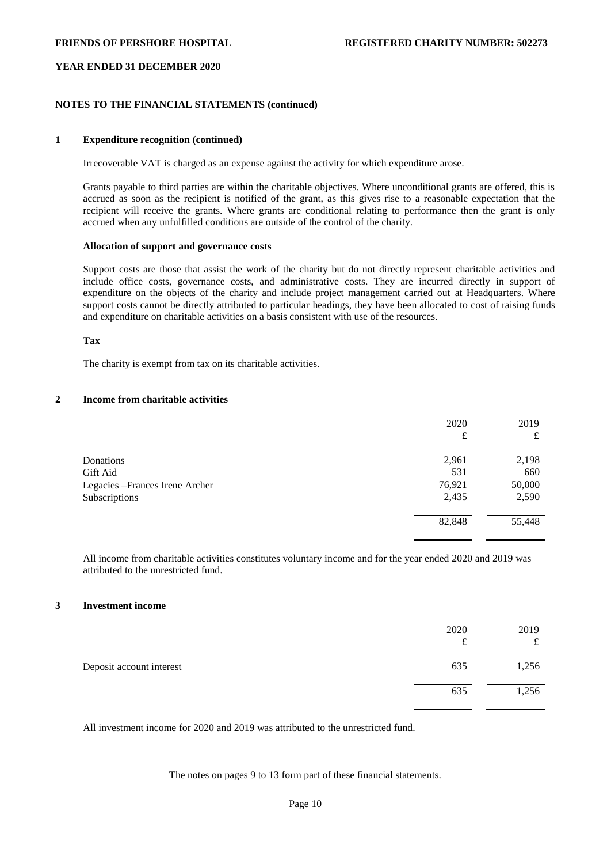# **NOTES TO THE FINANCIAL STATEMENTS (continued)**

## **1 Expenditure recognition (continued)**

Irrecoverable VAT is charged as an expense against the activity for which expenditure arose.

Grants payable to third parties are within the charitable objectives. Where unconditional grants are offered, this is accrued as soon as the recipient is notified of the grant, as this gives rise to a reasonable expectation that the recipient will receive the grants. Where grants are conditional relating to performance then the grant is only accrued when any unfulfilled conditions are outside of the control of the charity.

# **Allocation of support and governance costs**

Support costs are those that assist the work of the charity but do not directly represent charitable activities and include office costs, governance costs, and administrative costs. They are incurred directly in support of expenditure on the objects of the charity and include project management carried out at Headquarters. Where support costs cannot be directly attributed to particular headings, they have been allocated to cost of raising funds and expenditure on charitable activities on a basis consistent with use of the resources.

### **Tax**

The charity is exempt from tax on its charitable activities.

# **2 Income from charitable activities**

|                                 | 2020<br>£ | 2019<br>£ |
|---------------------------------|-----------|-----------|
| Donations                       | 2,961     | 2,198     |
| Gift Aid                        | 531       | 660       |
| Legacies - Frances Irene Archer | 76,921    | 50,000    |
| Subscriptions                   | 2,435     | 2,590     |
|                                 | 82,848    | 55,448    |

All income from charitable activities constitutes voluntary income and for the year ended 2020 and 2019 was attributed to the unrestricted fund.

# **3 Investment income**

|                          | 2020<br>t | 2019<br>$\epsilon$<br>ىد |
|--------------------------|-----------|--------------------------|
| Deposit account interest | 635       | 1,256                    |
|                          | 635       | 1,256                    |

All investment income for 2020 and 2019 was attributed to the unrestricted fund.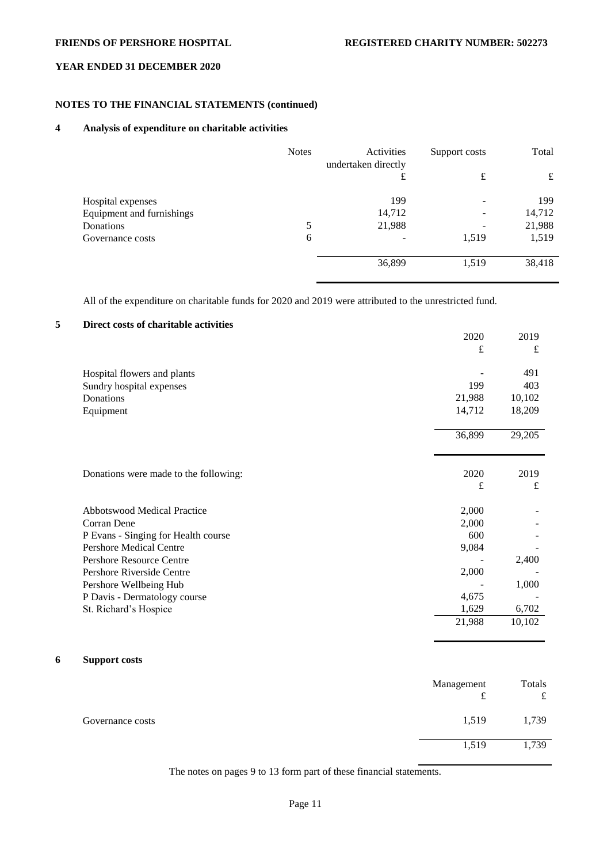# **NOTES TO THE FINANCIAL STATEMENTS (continued)**

# **4 Analysis of expenditure on charitable activities**

|                           | <b>Notes</b> | Activities<br>undertaken directly | Support costs            | Total  |
|---------------------------|--------------|-----------------------------------|--------------------------|--------|
|                           |              | £                                 | £                        | £      |
| Hospital expenses         |              | 199                               | $\overline{\phantom{0}}$ | 199    |
| Equipment and furnishings |              | 14,712                            | $\qquad \qquad$          | 14,712 |
| Donations                 | 5            | 21,988                            | $\overline{\phantom{0}}$ | 21,988 |
| Governance costs          | 6            |                                   | 1,519                    | 1,519  |
|                           |              | 36,899                            | 1,519                    | 38,418 |

All of the expenditure on charitable funds for 2020 and 2019 were attributed to the unrestricted fund.

# **5 Direct costs of charitable activities**

|                                       | 2020   | 2019   |
|---------------------------------------|--------|--------|
|                                       | £      | £      |
|                                       |        |        |
| Hospital flowers and plants           |        | 491    |
| Sundry hospital expenses              | 199    | 403    |
| Donations                             | 21,988 | 10,102 |
| Equipment                             | 14,712 | 18,209 |
|                                       |        |        |
|                                       | 36,899 | 29,205 |
|                                       |        |        |
|                                       |        |        |
| Donations were made to the following: | 2020   | 2019   |
|                                       | £      | £      |
|                                       |        |        |
| <b>Abbotswood Medical Practice</b>    | 2,000  |        |
| Corran Dene                           | 2,000  |        |
| P Evans - Singing for Health course   | 600    |        |
| <b>Pershore Medical Centre</b>        | 9,084  |        |
| <b>Pershore Resource Centre</b>       |        | 2,400  |
| Pershore Riverside Centre             | 2,000  |        |
| Pershore Wellbeing Hub                |        | 1,000  |
| P Davis - Dermatology course          | 4,675  |        |
| St. Richard's Hospice                 | 1,629  | 6,702  |
|                                       | 21,988 | 10,102 |
|                                       |        |        |

# **6 Support costs**

|                  | Management<br>t | Totals<br>£ |
|------------------|-----------------|-------------|
| Governance costs | 1,519           | 1,739       |
|                  | 1,519           | 1,739       |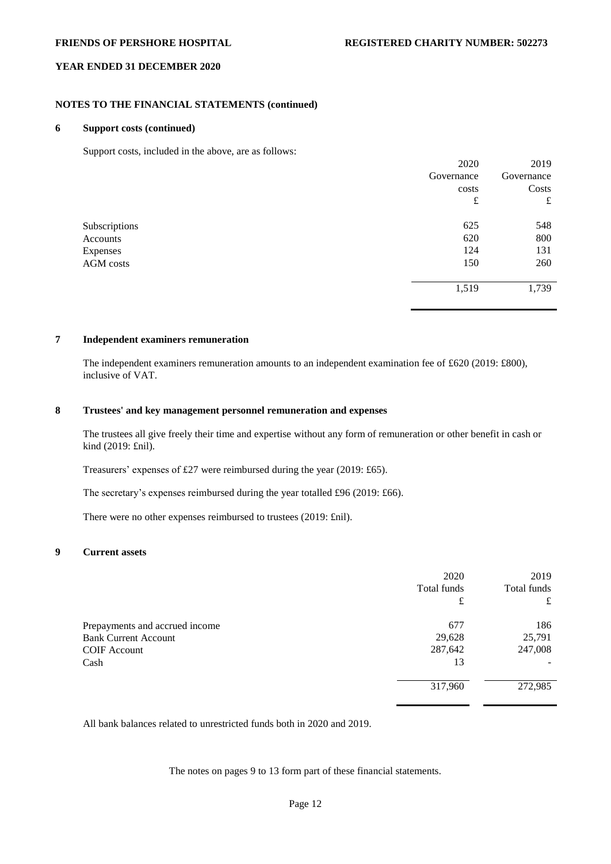2020

2019

# **YEAR ENDED 31 DECEMBER 2020**

# **NOTES TO THE FINANCIAL STATEMENTS (continued)**

# **6 Support costs (continued)**

Support costs, included in the above, are as follows:

|               | 2020       | 2019       |
|---------------|------------|------------|
|               | Governance | Governance |
|               | costs      | Costs      |
|               | £          | £          |
| Subscriptions | 625        | 548        |
| Accounts      | 620        | 800        |
| Expenses      | 124        | 131        |
| AGM costs     | 150        | 260        |
|               | 1,519      | 1,739      |

## **7 Independent examiners remuneration**

The independent examiners remuneration amounts to an independent examination fee of £620 (2019: £800), inclusive of VAT.

# **8 Trustees' and key management personnel remuneration and expenses**

The trustees all give freely their time and expertise without any form of remuneration or other benefit in cash or kind (2019: £nil).

Treasurers' expenses of £27 were reimbursed during the year (2019: £65).

The secretary's expenses reimbursed during the year totalled £96 (2019: £66).

There were no other expenses reimbursed to trustees (2019: £nil).

## **9 Current assets**

|                                | 2020        | 2019        |
|--------------------------------|-------------|-------------|
|                                | Total funds | Total funds |
|                                | £           | £           |
| Prepayments and accrued income | 677         | 186         |
| <b>Bank Current Account</b>    | 29,628      | 25,791      |
| <b>COIF</b> Account            | 287,642     | 247,008     |
| Cash                           | 13          |             |
|                                | 317,960     | 272,985     |

All bank balances related to unrestricted funds both in 2020 and 2019.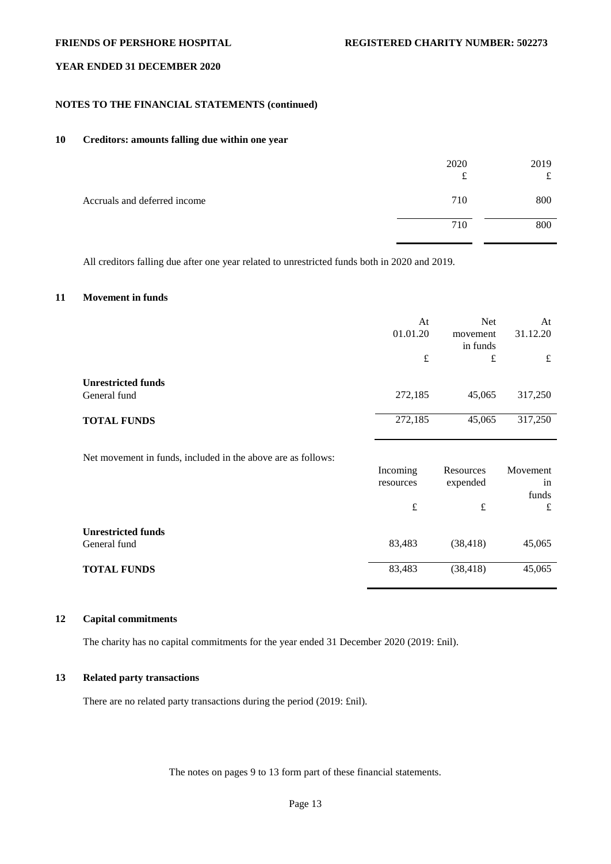# **NOTES TO THE FINANCIAL STATEMENTS (continued)**

# **10 Creditors: amounts falling due within one year**

|                              | 2020<br>£ | 2019<br>$\epsilon$<br>ىل |
|------------------------------|-----------|--------------------------|
| Accruals and deferred income | 710       | 800                      |
|                              | 710       | 800                      |

All creditors falling due after one year related to unrestricted funds both in 2020 and 2019.

# **11 Movement in funds**

|                                           | At<br>01.01.20 | <b>Net</b><br>movement<br>in funds | At<br>31.12.20 |
|-------------------------------------------|----------------|------------------------------------|----------------|
|                                           | £              | £                                  | £              |
| <b>Unrestricted funds</b><br>General fund | 272,185        | 45,065                             | 317,250        |
| <b>TOTAL FUNDS</b>                        | 272,185        | 45,065                             | 317,250        |
|                                           |                |                                    |                |

Net movement in funds, included in the above are as follows:

|                                           | Incoming<br>resources | Resources<br>expended | Movement<br>in |
|-------------------------------------------|-----------------------|-----------------------|----------------|
|                                           | £                     | £                     | funds<br>£     |
| <b>Unrestricted funds</b><br>General fund | 83,483                | (38, 418)             | 45,065         |
| <b>TOTAL FUNDS</b>                        | 83,483                | (38, 418)             | 45,065         |

# **12 Capital commitments**

The charity has no capital commitments for the year ended 31 December 2020 (2019: £nil).

# **13 Related party transactions**

There are no related party transactions during the period (2019: £nil).